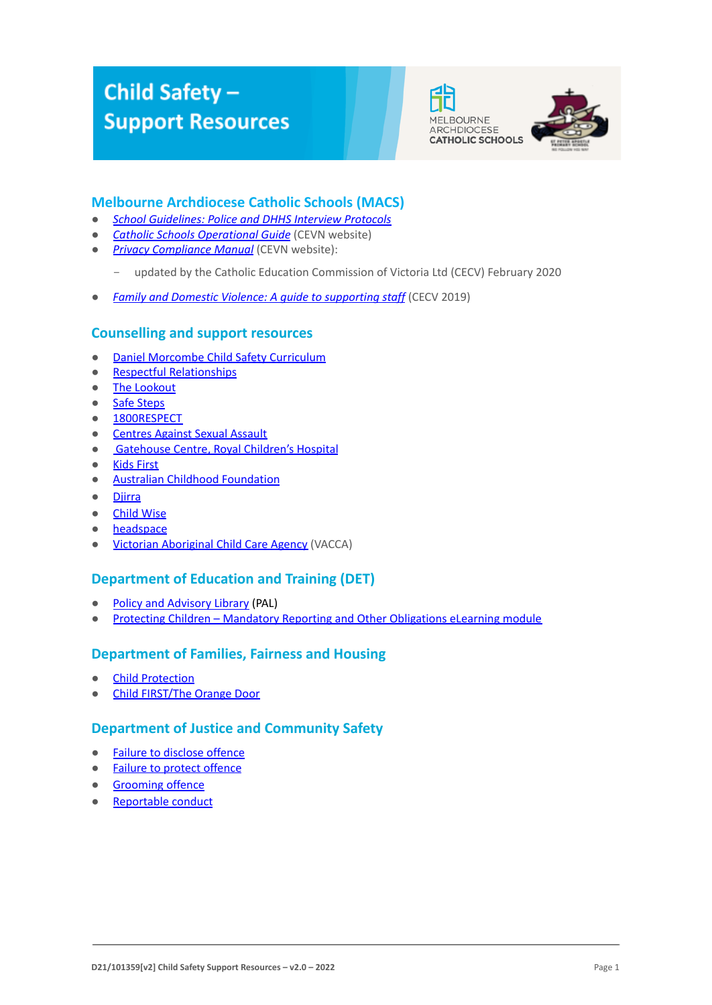# Child Safety-**Support Resources**





## **Melbourne Archdiocese Catholic Schools (MACS)**

- *[School Guidelines: Police and DHHS Interview Protocols](http://www.macs.vic.edu.au/CatholicEducationMelbourne/media/About-Us/Policies/2.19%20Child%20Protection/Policy-2-19a-Police-DHHS-Interview-Protocols.pdf)*
- *[Catholic Schools Operational Guide](https://cevn.cecv.catholic.edu.au/Melb/Document-File/CSOG/Index/Catholic-Schools-Operation-Guide.pdf)* (CEVN website)
- *[Privacy Compliance Manual](https://cevn.cecv.catholic.edu.au/Melb/Document-File/Polices-Compliance-and-Legal/Privacy/Privacy-Compliance-Manual)* (CEVN website):
	- updated by the Catholic Education Commission of Victoria Ltd (CECV) February 2020
- *[Family and Domestic Violence: A guide to supporting staff](https://www.cecv.catholic.edu.au/Media-Files/IR/Policies-Guidelines/Family-Domestic-Violence/Guide-to-family-and-domestic-violence-(1).aspx)* (CECV 2019)

#### **Counselling and support resources**

- [Daniel Morcombe Child Safety Curriculum](https://danielmorcombe.com.au/wp-content/uploads/2019/02/Daniel_Morcombe_Child_Safety_Curriculum_Access.pdf)
- [Respectful Relationships](https://www.education.vic.gov.au/about/programs/Pages/respectfulrelationships.aspx)
- [The Lookout](http://www.thelookout.org.au/)
- [Safe Steps](http://www.safesteps.org.au/)
- [1800RESPECT](http://www.1800respect.org.au/)
- [Centres Against Sexual Assault](http://www.casa.org.au/)
- **[Gatehouse Centre, Royal Children's Hospital](http://www.rch.org.au/gatehouse/)**
- [Kids First](https://www.kidsfirstaustralia.org.au/)
- [Australian Childhood Foundation](http://www.childhood.org.au/)
- [Djirra](https://djirra.org.au/)
- [Child Wise](http://www.childwise.org.au/)
- [headspace](http://headspace.org.au/)
- [Victorian Aboriginal Child Care Agency](https://www.vacca.org/) (VACCA)

## **Department of Education and Training (DET)**

- [Policy and Advisory Library](https://www2.education.vic.gov.au/pal) (PAL)
- [Protecting Children Mandatory Reporting and Other Obligations eLearning module](https://elearn.childlink.com.au/login/index.php)

#### **Department of Families, Fairness and Housing**

- [Child Protection](https://services.dhhs.vic.gov.au/child-protection)
- [Child FIRST/The Orange Door](https://services.dhhs.vic.gov.au/child-first-and-family-services)

## **Department of Justice and Community Safety**

- [Failure to disclose offence](https://www.justice.vic.gov.au/safer-communities/protecting-children-and-families/failure-to-disclose-offence)
- [Failure to protect offence](https://www.justice.vic.gov.au/safer-communities/protecting-children-and-families/failure-to-protect-a-new-criminal-offence-to)
- [Grooming offence](https://www.justice.vic.gov.au/safer-communities/protecting-children-and-families/grooming-offence)
- [Reportable conduct](https://www.justice.vic.gov.au/about-the-department/the-department-of-justice-and-community-safety-and-the-reportable-conduct)